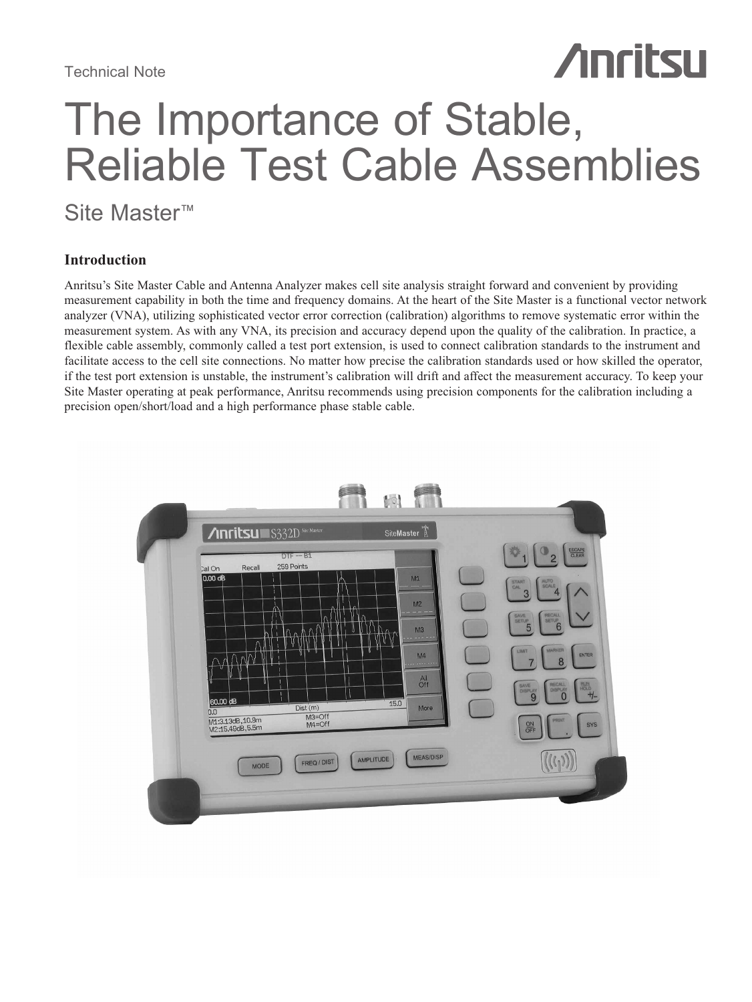# The Importance of Stable, Reliable Test Cable Assemblies

**Anritsu** 

## Site Master™

## **Introduction**

Anritsu's Site Master Cable and Antenna Analyzer makes cell site analysis straight forward and convenient by providing measurement capability in both the time and frequency domains. At the heart of the Site Master is a functional vector network analyzer (VNA), utilizing sophisticated vector error correction (calibration) algorithms to remove systematic error within the measurement system. As with any VNA, its precision and accuracy depend upon the quality of the calibration. In practice, a flexible cable assembly, commonly called a test port extension, is used to connect calibration standards to the instrument and facilitate access to the cell site connections. No matter how precise the calibration standards used or how skilled the operator, if the test port extension is unstable, the instrument's calibration will drift and affect the measurement accuracy. To keep your Site Master operating at peak performance, Anritsu recommends using precision components for the calibration including a precision open/short/load and a high performance phase stable cable.

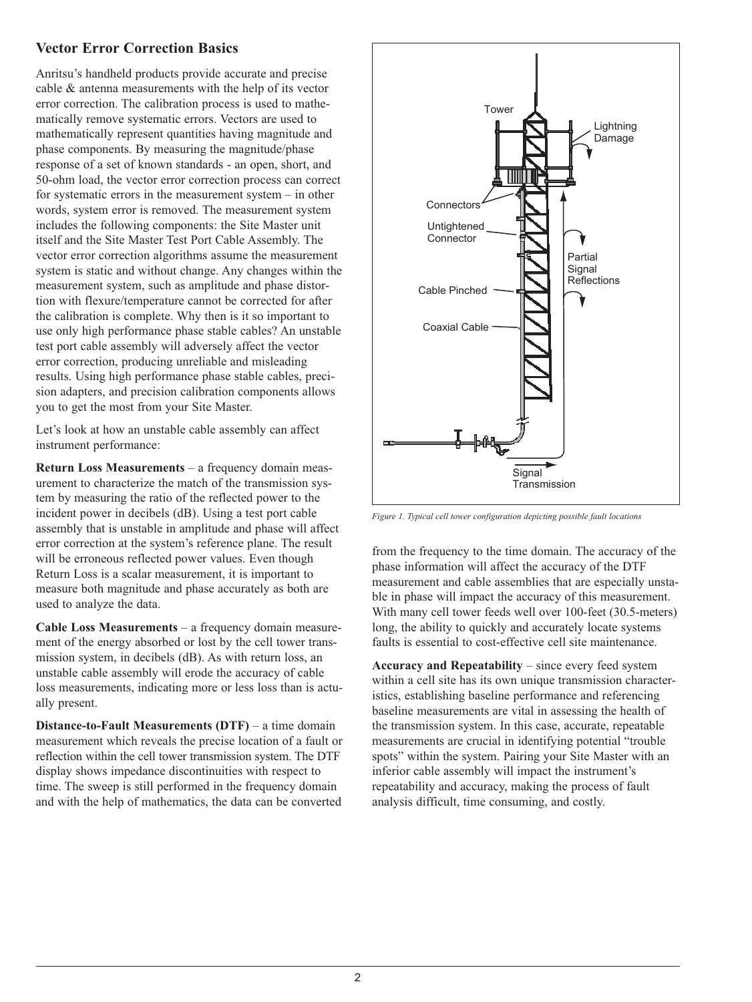## **Vector Error Correction Basics**

Anritsu's handheld products provide accurate and precise cable & antenna measurements with the help of its vector error correction. The calibration process is used to mathematically remove systematic errors. Vectors are used to mathematically represent quantities having magnitude and phase components. By measuring the magnitude/phase response of a set of known standards - an open, short, and 50-ohm load, the vector error correction process can correct for systematic errors in the measurement system – in other words, system error is removed. The measurement system includes the following components: the Site Master unit itself and the Site Master Test Port Cable Assembly. The vector error correction algorithms assume the measurement system is static and without change. Any changes within the measurement system, such as amplitude and phase distortion with flexure/temperature cannot be corrected for after the calibration is complete. Why then is it so important to use only high performance phase stable cables? An unstable test port cable assembly will adversely affect the vector error correction, producing unreliable and misleading results. Using high performance phase stable cables, precision adapters, and precision calibration components allows you to get the most from your Site Master.

Let's look at how an unstable cable assembly can affect instrument performance:

**Return Loss Measurements** – a frequency domain measurement to characterize the match of the transmission system by measuring the ratio of the reflected power to the incident power in decibels (dB). Using a test port cable assembly that is unstable in amplitude and phase will affect error correction at the system's reference plane. The result will be erroneous reflected power values. Even though Return Loss is a scalar measurement, it is important to measure both magnitude and phase accurately as both are used to analyze the data.

**Cable Loss Measurements** – a frequency domain measurement of the energy absorbed or lost by the cell tower transmission system, in decibels (dB). As with return loss, an unstable cable assembly will erode the accuracy of cable loss measurements, indicating more or less loss than is actually present.

**Distance-to-Fault Measurements (DTF)** – a time domain measurement which reveals the precise location of a fault or reflection within the cell tower transmission system. The DTF display shows impedance discontinuities with respect to time. The sweep is still performed in the frequency domain and with the help of mathematics, the data can be converted



*Figure 1. Typical cell tower configuration depicting possible fault locations*

from the frequency to the time domain. The accuracy of the phase information will affect the accuracy of the DTF measurement and cable assemblies that are especially unstable in phase will impact the accuracy of this measurement. With many cell tower feeds well over 100-feet (30.5-meters) long, the ability to quickly and accurately locate systems faults is essential to cost-effective cell site maintenance.

**Accuracy and Repeatability** – since every feed system within a cell site has its own unique transmission characteristics, establishing baseline performance and referencing baseline measurements are vital in assessing the health of the transmission system. In this case, accurate, repeatable measurements are crucial in identifying potential "trouble spots" within the system. Pairing your Site Master with an inferior cable assembly will impact the instrument's repeatability and accuracy, making the process of fault analysis difficult, time consuming, and costly.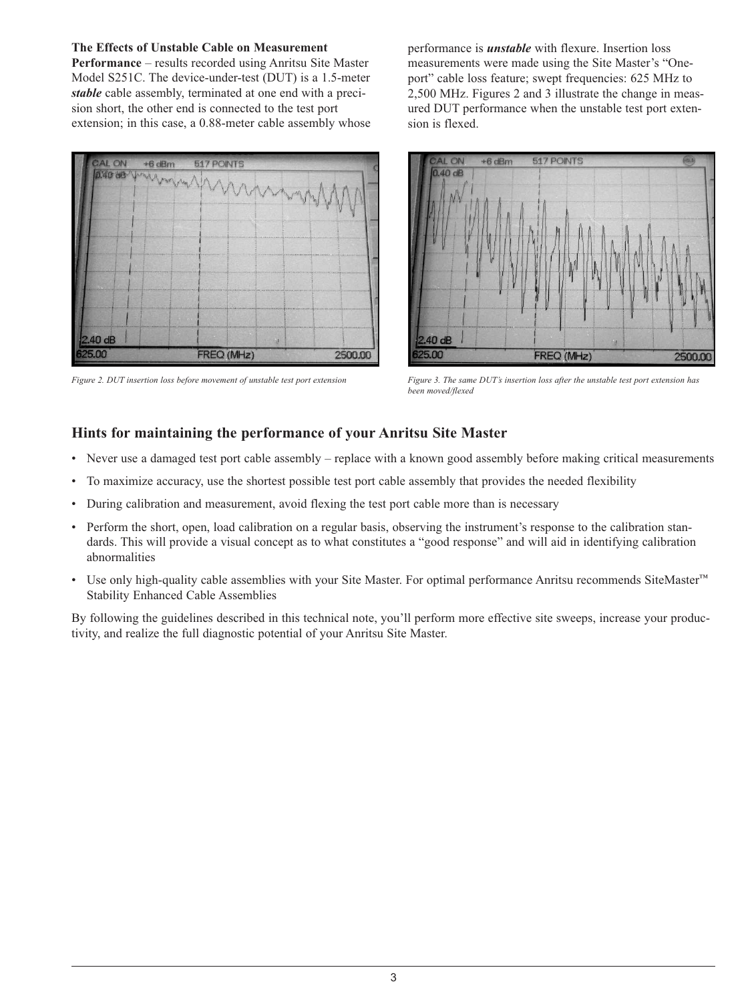## **The Effects of Unstable Cable on Measurement**

**Performance** – results recorded using Anritsu Site Master Model S251C. The device-under-test (DUT) is a 1.5-meter *stable* cable assembly, terminated at one end with a precision short, the other end is connected to the test port extension; in this case, a 0.88-meter cable assembly whose



performance is *unstable* with flexure. Insertion loss measurements were made using the Site Master's "Oneport" cable loss feature; swept frequencies: 625 MHz to 2,500 MHz. Figures 2 and 3 illustrate the change in measured DUT performance when the unstable test port extension is flexed.



*Figure 2. DUT insertion loss before movement of unstable test port extension Figure 3. The same DUT's insertion loss after the unstable test port extension has been moved/flexed*

## **Hints for maintaining the performance of your Anritsu Site Master**

- Never use a damaged test port cable assembly replace with a known good assembly before making critical measurements
- To maximize accuracy, use the shortest possible test port cable assembly that provides the needed flexibility
- During calibration and measurement, avoid flexing the test port cable more than is necessary
- Perform the short, open, load calibration on a regular basis, observing the instrument's response to the calibration standards. This will provide a visual concept as to what constitutes a "good response" and will aid in identifying calibration abnormalities
- Use only high-quality cable assemblies with your Site Master. For optimal performance Anritsu recommends SiteMaster™ Stability Enhanced Cable Assemblies

By following the guidelines described in this technical note, you'll perform more effective site sweeps, increase your productivity, and realize the full diagnostic potential of your Anritsu Site Master.